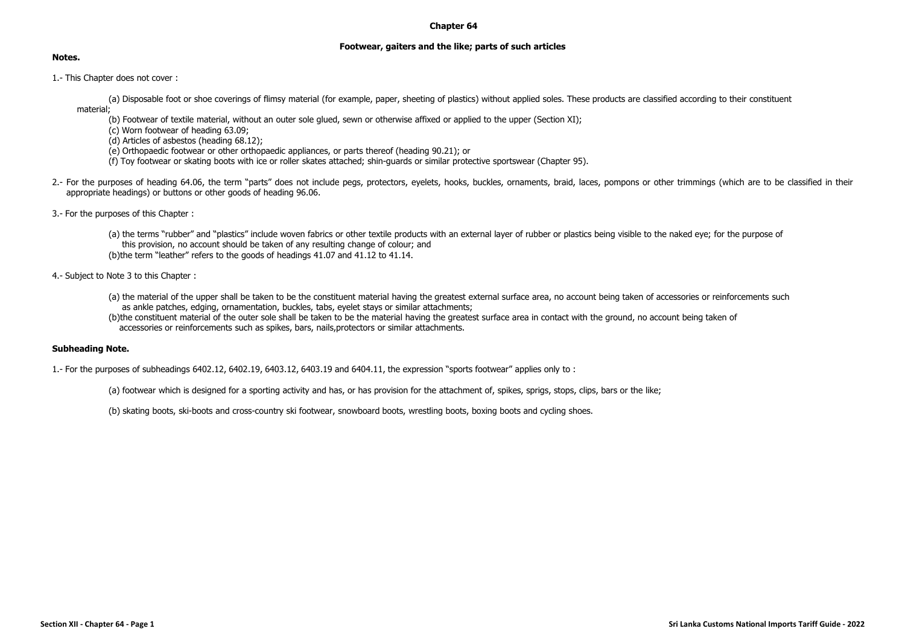## **Chapter 64**

## **Footwear, gaiters and the like; parts of such articles**

## **Notes.**

1.- This Chapter does not cover :

(a) Disposable foot or shoe coverings of flimsy material (for example, paper, sheeting of plastics) without applied soles. These products are classified according to their constituent material;

- (b) Footwear of textile material, without an outer sole glued, sewn or otherwise affixed or applied to the upper (Section XI);
- (c) Worn footwear of heading 63.09;
- (d) Articles of asbestos (heading 68.12);
- (e) Orthopaedic footwear or other orthopaedic appliances, or parts thereof (heading 90.21); or
- (f) Toy footwear or skating boots with ice or roller skates attached; shin-guards or similar protective sportswear (Chapter 95).
- 2.- For the purposes of heading 64.06, the term "parts" does not include pegs, protectors, eyelets, hooks, buckles, ornaments, braid, laces, pompons or other trimmings (which are to be classified in their appropriate headings) or buttons or other goods of heading 96.06.
- 3.- For the purposes of this Chapter :

(a) the terms "rubber" and "plastics" include woven fabrics or other textile products with an external layer of rubber or plastics being visible to the naked eye; for the purpose of this provision, no account should be taken of any resulting change of colour; and (b)the term "leather" refers to the goods of headings 41.07 and 41.12 to 41.14.

4.- Subject to Note 3 to this Chapter :

- (a) the material of the upper shall be taken to be the constituent material having the greatest external surface area, no account being taken of accessories or reinforcements such as ankle patches, edging, ornamentation, buckles, tabs, eyelet stays or similar attachments;
- (b)the constituent material of the outer sole shall be taken to be the material having the greatest surface area in contact with the ground, no account being taken of accessories or reinforcements such as spikes, bars, nails,protectors or similar attachments.

## **Subheading Note.**

1.- For the purposes of subheadings 6402.12, 6402.19, 6403.12, 6403.19 and 6404.11, the expression "sports footwear" applies only to :

(a) footwear which is designed for a sporting activity and has, or has provision for the attachment of, spikes, sprigs, stops, clips, bars or the like;

(b) skating boots, ski-boots and cross-country ski footwear, snowboard boots, wrestling boots, boxing boots and cycling shoes.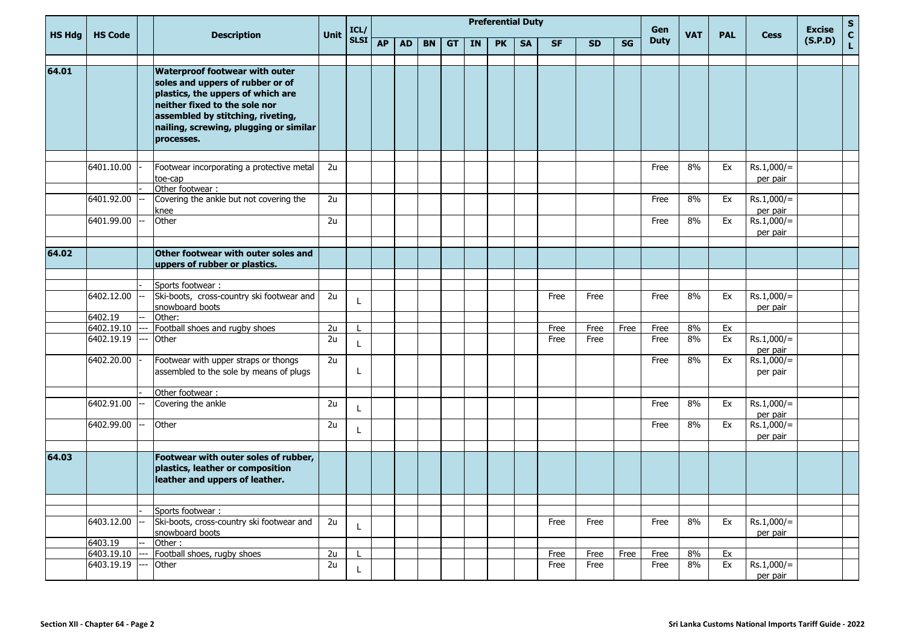| <b>HS Hdg</b> | <b>HS Code</b>        |  | <b>Description</b>                                                                                                                                                                                                             | <b>Unit</b> | ICL/              |           |           |           |           |    | <b>Preferential Duty</b> |           |           |           |      | Gen         | <b>VAT</b> | <b>PAL</b> | <b>Cess</b>                          | <b>Excise</b> | ${\sf s}$<br>$\mathbf{c}$ |
|---------------|-----------------------|--|--------------------------------------------------------------------------------------------------------------------------------------------------------------------------------------------------------------------------------|-------------|-------------------|-----------|-----------|-----------|-----------|----|--------------------------|-----------|-----------|-----------|------|-------------|------------|------------|--------------------------------------|---------------|---------------------------|
|               |                       |  |                                                                                                                                                                                                                                |             | SLSI <sup>T</sup> | <b>AP</b> | <b>AD</b> | <b>BN</b> | <b>GT</b> | IN | <b>PK</b>                | <b>SA</b> | <b>SF</b> | <b>SD</b> | SG   | <b>Duty</b> |            |            |                                      | (S.P.D)       | $\mathbf{L}$              |
| 64.01         |                       |  | <b>Waterproof footwear with outer</b><br>soles and uppers of rubber or of<br>plastics, the uppers of which are<br>neither fixed to the sole nor<br>assembled by stitching, riveting,<br>nailing, screwing, plugging or similar |             |                   |           |           |           |           |    |                          |           |           |           |      |             |            |            |                                      |               |                           |
|               |                       |  | processes.                                                                                                                                                                                                                     |             |                   |           |           |           |           |    |                          |           |           |           |      |             |            |            |                                      |               |                           |
|               |                       |  |                                                                                                                                                                                                                                |             |                   |           |           |           |           |    |                          |           |           |           |      |             |            |            |                                      |               |                           |
|               | 6401.10.00            |  | Footwear incorporating a protective metal<br>toe-cap                                                                                                                                                                           | 2u          |                   |           |           |           |           |    |                          |           |           |           |      | Free        | 8%         | Ex         | $Rs.1,000/=$<br>per pair             |               |                           |
|               | 6401.92.00            |  | Other footwear :<br>Covering the ankle but not covering the                                                                                                                                                                    | 2u          |                   |           |           |           |           |    |                          |           |           |           |      | Free        | 8%         | Ex         | $Rs.1,000/=$                         |               |                           |
|               | 6401.99.00            |  | knee<br>Other                                                                                                                                                                                                                  | 2u          |                   |           |           |           |           |    |                          |           |           |           |      | Free        | 8%         | Ex         | per pair<br>$Rs.1,000/=$<br>per pair |               |                           |
|               |                       |  |                                                                                                                                                                                                                                |             |                   |           |           |           |           |    |                          |           |           |           |      |             |            |            |                                      |               |                           |
| 64.02         |                       |  | Other footwear with outer soles and<br>uppers of rubber or plastics.                                                                                                                                                           |             |                   |           |           |           |           |    |                          |           |           |           |      |             |            |            |                                      |               |                           |
|               |                       |  |                                                                                                                                                                                                                                |             |                   |           |           |           |           |    |                          |           |           |           |      |             |            |            |                                      |               |                           |
|               | 6402.12.00            |  | Sports footwear:<br>Ski-boots, cross-country ski footwear and<br>snowboard boots                                                                                                                                               | 2u          |                   |           |           |           |           |    |                          |           | Free      | Free      |      | Free        | 8%         | Ex         | $Rs.1,000/=$<br>per pair             |               |                           |
|               | 6402.19               |  | Other:                                                                                                                                                                                                                         |             |                   |           |           |           |           |    |                          |           |           |           |      |             |            |            |                                      |               |                           |
|               | 6402.19.10            |  | Football shoes and rugby shoes                                                                                                                                                                                                 | 2u          |                   |           |           |           |           |    |                          |           | Free      | Free      | Free | Free        | 8%         | Ex         |                                      |               |                           |
|               | 6402.19.19            |  | Other                                                                                                                                                                                                                          | 2u          |                   |           |           |           |           |    |                          |           | Free      | Free      |      | Free        | 8%         | Ex         | $Rs.1,000/=$<br>per pair             |               |                           |
|               | 6402.20.00            |  | Footwear with upper straps or thongs<br>assembled to the sole by means of plugs                                                                                                                                                | 2u          | L                 |           |           |           |           |    |                          |           |           |           |      | Free        | 8%         | Ex         | $Rs.1,000/=$<br>per pair             |               |                           |
|               |                       |  | Other footwear :                                                                                                                                                                                                               |             |                   |           |           |           |           |    |                          |           |           |           |      |             |            |            |                                      |               |                           |
|               | 6402.91.00            |  | Covering the ankle                                                                                                                                                                                                             | 2u          |                   |           |           |           |           |    |                          |           |           |           |      | Free        | 8%         | Ex         | $Rs.1,000/=$<br>per pair             |               |                           |
|               | 6402.99.00            |  | Other                                                                                                                                                                                                                          | 2u          |                   |           |           |           |           |    |                          |           |           |           |      | Free        | 8%         | Ex         | $Rs.1,000/=$<br>per pair             |               |                           |
| 64.03         |                       |  | Footwear with outer soles of rubber,<br>plastics, leather or composition<br>leather and uppers of leather.                                                                                                                     |             |                   |           |           |           |           |    |                          |           |           |           |      |             |            |            |                                      |               |                           |
|               |                       |  |                                                                                                                                                                                                                                |             |                   |           |           |           |           |    |                          |           |           |           |      |             |            |            |                                      |               |                           |
|               |                       |  | Sports footwear:                                                                                                                                                                                                               |             |                   |           |           |           |           |    |                          |           |           |           |      |             |            |            |                                      |               |                           |
|               | 6403.12.00            |  | Ski-boots, cross-country ski footwear and<br>snowboard boots                                                                                                                                                                   | 2u          | L                 |           |           |           |           |    |                          |           | Free      | Free      |      | Free        | 8%         | Ex         | $Rs.1,000/=$<br>per pair             |               |                           |
|               | 6403.19<br>6403.19.10 |  | Other:<br>Football shoes, rugby shoes                                                                                                                                                                                          | 2u          |                   |           |           |           |           |    |                          |           | Free      | Free      | Free | Free        | 8%         | Ex         |                                      |               |                           |
|               | 6403.19.19            |  | Other                                                                                                                                                                                                                          | 2u          |                   |           |           |           |           |    |                          |           | Free      | Free      |      | Free        | 8%         | Ex         | $Rs.1,000/=$                         |               |                           |
|               |                       |  |                                                                                                                                                                                                                                |             |                   |           |           |           |           |    |                          |           |           |           |      |             |            |            | per pair                             |               |                           |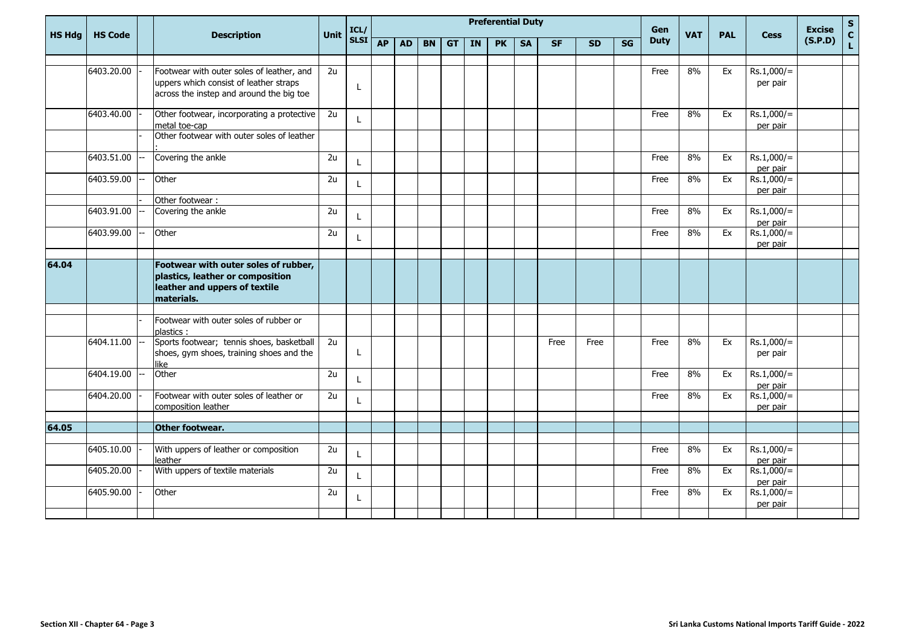| <b>HS Hdg</b> | <b>HS Code</b> |       | <b>Description</b>                                                                                                      | <b>Unit</b>     | ICL/         |           |           |           |           |    | <b>Preferential Duty</b> |           |           |           |           | Gen         | <b>VAT</b> | <b>PAL</b> | <b>Cess</b>                          | <b>Excise</b> | $\mathsf{s}$<br>$\mathbf{C}$ |
|---------------|----------------|-------|-------------------------------------------------------------------------------------------------------------------------|-----------------|--------------|-----------|-----------|-----------|-----------|----|--------------------------|-----------|-----------|-----------|-----------|-------------|------------|------------|--------------------------------------|---------------|------------------------------|
|               |                |       |                                                                                                                         |                 | <b>SLSI</b>  | <b>AP</b> | <b>AD</b> | <b>BN</b> | <b>GT</b> | IN | <b>PK</b>                | <b>SA</b> | <b>SF</b> | <b>SD</b> | <b>SG</b> | <b>Duty</b> |            |            |                                      | (S.P.D)       | $\mathbf{L}$                 |
|               | 6403.20.00     |       | Footwear with outer soles of leather, and                                                                               | 2u              |              |           |           |           |           |    |                          |           |           |           |           | Free        | 8%         | Ex         | $Rs.1,000/=$                         |               |                              |
|               |                |       | uppers which consist of leather straps                                                                                  |                 |              |           |           |           |           |    |                          |           |           |           |           |             |            |            | per pair                             |               |                              |
|               |                |       | across the instep and around the big toe                                                                                |                 | L            |           |           |           |           |    |                          |           |           |           |           |             |            |            |                                      |               |                              |
|               | 6403.40.00     |       | Other footwear, incorporating a protective                                                                              | 2u              |              |           |           |           |           |    |                          |           |           |           |           | Free        | 8%         | Ex         | $Rs.1,000/=$                         |               |                              |
|               |                |       | metal toe-cap<br>Other footwear with outer soles of leather                                                             |                 |              |           |           |           |           |    |                          |           |           |           |           |             |            |            | per pair                             |               |                              |
|               | 6403.51.00     | $- -$ | Covering the ankle                                                                                                      | 2u              | L            |           |           |           |           |    |                          |           |           |           |           | Free        | 8%         | Ex         | $Rs.1,000/=$                         |               |                              |
|               | 6403.59.00     |       | Other                                                                                                                   | 2u              | L            |           |           |           |           |    |                          |           |           |           |           | Free        | 8%         | Ex         | per pair<br>$Rs.1,000/=$<br>per pair |               |                              |
|               |                |       | Other footwear :                                                                                                        |                 |              |           |           |           |           |    |                          |           |           |           |           |             |            |            |                                      |               |                              |
|               | 6403.91.00     | --    | Covering the ankle                                                                                                      | $\overline{2u}$ | $\mathbf{I}$ |           |           |           |           |    |                          |           |           |           |           | Free        | 8%         | Ex         | $Rs.1,000/=$<br>per pair             |               |                              |
|               | 6403.99.00     |       | Other                                                                                                                   | 2u              | L            |           |           |           |           |    |                          |           |           |           |           | Free        | 8%         | Ex         | $Rs.1,000/=$<br>per pair             |               |                              |
|               |                |       |                                                                                                                         |                 |              |           |           |           |           |    |                          |           |           |           |           |             |            |            |                                      |               |                              |
| 64.04         |                |       | Footwear with outer soles of rubber,<br>plastics, leather or composition<br>leather and uppers of textile<br>materials. |                 |              |           |           |           |           |    |                          |           |           |           |           |             |            |            |                                      |               |                              |
|               |                |       |                                                                                                                         |                 |              |           |           |           |           |    |                          |           |           |           |           |             |            |            |                                      |               |                              |
|               |                |       | Footwear with outer soles of rubber or<br>plastics:                                                                     |                 |              |           |           |           |           |    |                          |           |           |           |           |             |            |            |                                      |               |                              |
|               | 6404.11.00     |       | Sports footwear; tennis shoes, basketball<br>shoes, gym shoes, training shoes and the<br>like                           | 2u              | L            |           |           |           |           |    |                          |           | Free      | Free      |           | Free        | 8%         | Ex         | $Rs.1,000/=$<br>per pair             |               |                              |
|               | 6404.19.00     |       | Other                                                                                                                   | 2u              | L            |           |           |           |           |    |                          |           |           |           |           | Free        | 8%         | Ex         | $Rs.1,000/=$<br>per pair             |               |                              |
|               | 6404.20.00     |       | Footwear with outer soles of leather or<br>composition leather                                                          | 2u              |              |           |           |           |           |    |                          |           |           |           |           | Free        | 8%         | Ex         | $Rs.1,000/=$<br>per pair             |               |                              |
|               |                |       |                                                                                                                         |                 |              |           |           |           |           |    |                          |           |           |           |           |             |            |            |                                      |               |                              |
| 64.05         |                |       | Other footwear.                                                                                                         |                 |              |           |           |           |           |    |                          |           |           |           |           |             |            |            |                                      |               |                              |
|               | 6405.10.00     |       | With uppers of leather or composition<br>leather                                                                        | 2u              |              |           |           |           |           |    |                          |           |           |           |           | Free        | 8%         | Ex         | $Rs.1,000/=$<br>per pair             |               |                              |
|               | 6405.20.00     |       | With uppers of textile materials                                                                                        | 2u              |              |           |           |           |           |    |                          |           |           |           |           | Free        | 8%         | Ex         | $Rs.1,000/=$<br>per pair             |               |                              |
|               | 6405.90.00     |       | Other                                                                                                                   | 2u              | L            |           |           |           |           |    |                          |           |           |           |           | Free        | 8%         | Ex         | $Rs.1,000/=$<br>per pair             |               |                              |
|               |                |       |                                                                                                                         |                 |              |           |           |           |           |    |                          |           |           |           |           |             |            |            |                                      |               |                              |